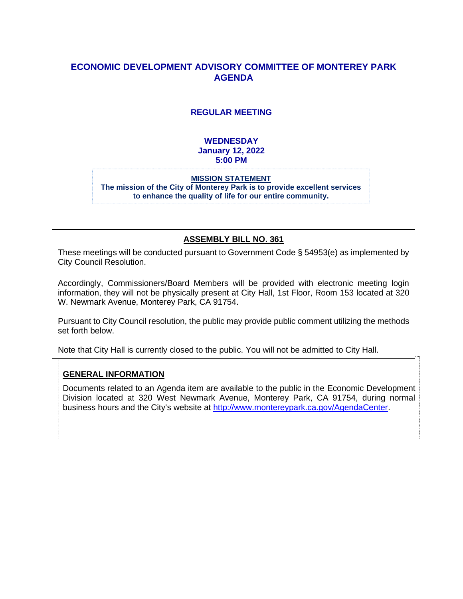## **ECONOMIC DEVELOPMENT ADVISORY COMMITTEE OF MONTEREY PARK AGENDA**

### **REGULAR MEETING**

### **WEDNESDAY January 12, 2022 5:00 PM**

#### **MISSION STATEMENT The mission of the City of Monterey Park is to provide excellent services to enhance the quality of life for our entire community.**

### **ASSEMBLY BILL NO. 361**

These meetings will be conducted pursuant to Government Code § 54953(e) as implemented by City Council Resolution.

Accordingly, Commissioners/Board Members will be provided with electronic meeting login information, they will not be physically present at City Hall, 1st Floor, Room 153 located at 320 W. Newmark Avenue, Monterey Park, CA 91754.

Pursuant to City Council resolution, the public may provide public comment utilizing the methods set forth below.

Note that City Hall is currently closed to the public. You will not be admitted to City Hall.

### **GENERAL INFORMATION**

Documents related to an Agenda item are available to the public in the Economic Development Division located at 320 West Newmark Avenue, Monterey Park, CA 91754, during normal business hours and the City's website at [http://www.montereypark.ca.gov/AgendaCenter.](http://www.montereypark.ca.gov/AgendaCenter)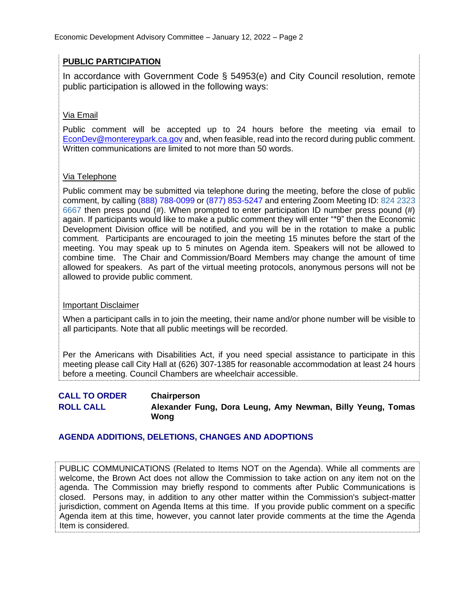### **PUBLIC PARTICIPATION**

In accordance with Government Code § 54953(e) and City Council resolution, remote public participation is allowed in the following ways:

### Via Email

Public comment will be accepted up to 24 hours before the meeting via email to [EconDev@montereypark.ca.gov](mailto:EconDev@montereypark.ca.gov) and, when feasible, read into the record during public comment. Written communications are limited to not more than 50 words.

### Via Telephone

Public comment may be submitted via telephone during the meeting, before the close of public comment, by calling (888) 788-0099 or (877) 853-5247 and entering Zoom Meeting ID: 824 2323 6667 then press pound (#). When prompted to enter participation ID number press pound (#) again. If participants would like to make a public comment they will enter "\*9" then the Economic Development Division office will be notified, and you will be in the rotation to make a public comment. Participants are encouraged to join the meeting 15 minutes before the start of the meeting. You may speak up to 5 minutes on Agenda item. Speakers will not be allowed to combine time. The Chair and Commission/Board Members may change the amount of time allowed for speakers. As part of the virtual meeting protocols, anonymous persons will not be allowed to provide public comment.

### Important Disclaimer

When a participant calls in to join the meeting, their name and/or phone number will be visible to all participants. Note that all public meetings will be recorded.

Per the Americans with Disabilities Act, if you need special assistance to participate in this meeting please call City Hall at (626) 307-1385 for reasonable accommodation at least 24 hours before a meeting. Council Chambers are wheelchair accessible.

**CALL TO ORDER Chairperson ROLL CALL Alexander Fung, Dora Leung, Amy Newman, Billy Yeung, Tomas Wong**

### **AGENDA ADDITIONS, DELETIONS, CHANGES AND ADOPTIONS**

PUBLIC COMMUNICATIONS (Related to Items NOT on the Agenda). While all comments are welcome, the Brown Act does not allow the Commission to take action on any item not on the agenda. The Commission may briefly respond to comments after Public Communications is closed. Persons may, in addition to any other matter within the Commission's subject-matter jurisdiction, comment on Agenda Items at this time. If you provide public comment on a specific Agenda item at this time, however, you cannot later provide comments at the time the Agenda Item is considered.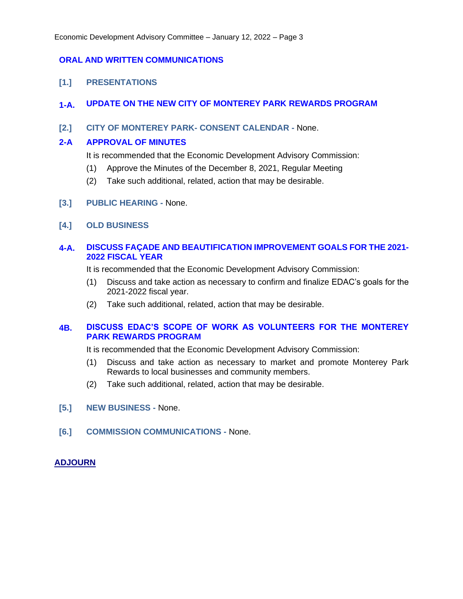### **ORAL AND WRITTEN COMMUNICATIONS**

**[1.] PRESENTATIONS**

### **1-A. UPDATE ON THE NEW CITY OF MONTEREY PARK REWARDS PROGRAM**

**[2.] CITY OF MONTEREY PARK- CONSENT CALENDAR -** None.

### **2-A APPROVAL OF MINUTES**

It is recommended that the Economic Development Advisory Commission:

- (1) Approve the Minutes of the December 8, 2021, Regular Meeting
- (2) Take such additional, related, action that may be desirable.
- **[3.] PUBLIC HEARING -** None.
- **[4.] OLD BUSINESS**

### **4-A. DISCUSS FAÇADE AND BEAUTIFICATION IMPROVEMENT GOALS FOR THE 2021- 2022 FISCAL YEAR**

It is recommended that the Economic Development Advisory Commission:

- (1) Discuss and take action as necessary to confirm and finalize EDAC's goals for the 2021-2022 fiscal year.
- (2) Take such additional, related, action that may be desirable.

### **4B. DISCUSS EDAC'S SCOPE OF WORK AS VOLUNTEERS FOR THE MONTEREY PARK REWARDS PROGRAM**

It is recommended that the Economic Development Advisory Commission:

- (1) Discuss and take action as necessary to market and promote Monterey Park Rewards to local businesses and community members.
- (2) Take such additional, related, action that may be desirable.
- **[5.] NEW BUSINESS -** None.
- **[6.] COMMISSION COMMUNICATIONS -** None.

### **ADJOURN**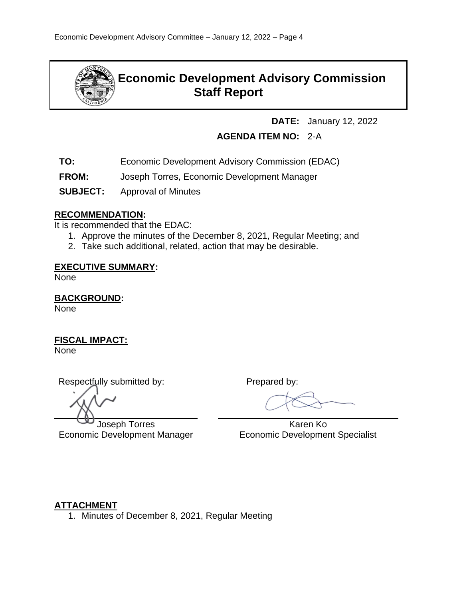

# **Economic Development Advisory Commission Staff Report**

**DATE:** January 12, 2022

# **AGENDA ITEM NO:** 2-A

- **TO:** Economic Development Advisory Commission (EDAC)
- **FROM:** Joseph Torres, Economic Development Manager
- **SUBJECT:** Approval of Minutes

## **RECOMMENDATION:**

It is recommended that the EDAC:

- 1. Approve the minutes of the December 8, 2021, Regular Meeting; and
- 2. Take such additional, related, action that may be desirable.

### **EXECUTIVE SUMMARY:**

None

**BACKGROUND:**

None

# **FISCAL IMPACT:**

None

Respectfully submitted by: Prepared by:

Joseph Torres Economic Development Manager

 Karen Ko Economic Development Specialist

# **ATTACHMENT**

1. Minutes of December 8, 2021, Regular Meeting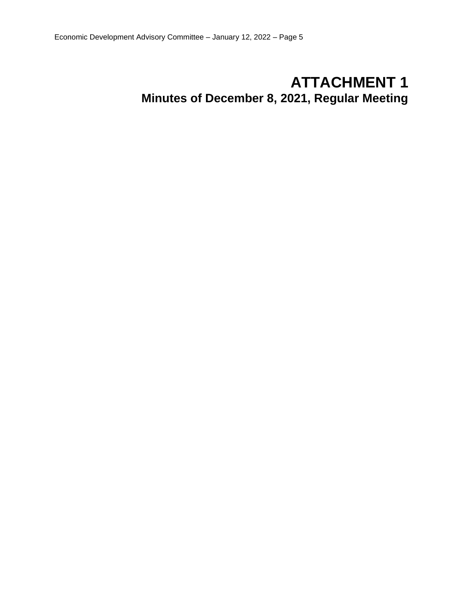# **ATTACHMENT 1 Minutes of December 8, 2021, Regular Meeting**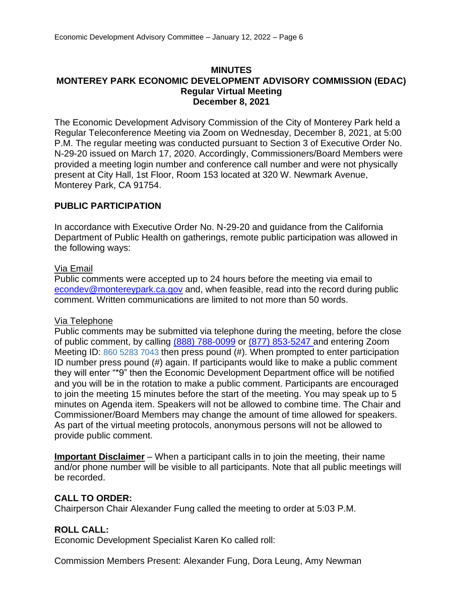### **MINUTES MONTEREY PARK ECONOMIC DEVELOPMENT ADVISORY COMMISSION (EDAC) Regular Virtual Meeting December 8, 2021**

The Economic Development Advisory Commission of the City of Monterey Park held a Regular Teleconference Meeting via Zoom on Wednesday, December 8, 2021, at 5:00 P.M. The regular meeting was conducted pursuant to Section 3 of Executive Order No. N-29-20 issued on March 17, 2020. Accordingly, Commissioners/Board Members were provided a meeting login number and conference call number and were not physically present at City Hall, 1st Floor, Room 153 located at 320 W. Newmark Avenue, Monterey Park, CA 91754.

### **PUBLIC PARTICIPATION**

In accordance with Executive Order No. N-29-20 and guidance from the California Department of Public Health on gatherings, remote public participation was allowed in the following ways:

### Via Email

Public comments were accepted up to 24 hours before the meeting via email to [econdev@montereypark.ca.gov](mailto:econdev@montereypark.ca.gov) and, when feasible, read into the record during public comment. Written communications are limited to not more than 50 words.

### Via Telephone

Public comments may be submitted via telephone during the meeting, before the close of public comment, by calling (888) 788-0099 or (877) 853-5247 and entering Zoom Meeting ID: 860 5283 7043 then press pound (#). When prompted to enter participation ID number press pound (#) again. If participants would like to make a public comment they will enter "\*9" then the Economic Development Department office will be notified and you will be in the rotation to make a public comment. Participants are encouraged to join the meeting 15 minutes before the start of the meeting. You may speak up to 5 minutes on Agenda item. Speakers will not be allowed to combine time. The Chair and Commissioner/Board Members may change the amount of time allowed for speakers. As part of the virtual meeting protocols, anonymous persons will not be allowed to provide public comment.

**Important Disclaimer** – When a participant calls in to join the meeting, their name and/or phone number will be visible to all participants. Note that all public meetings will be recorded.

### **CALL TO ORDER:**

Chairperson Chair Alexander Fung called the meeting to order at 5:03 P.M.

### **ROLL CALL:**

Economic Development Specialist Karen Ko called roll:

Commission Members Present: Alexander Fung, Dora Leung, Amy Newman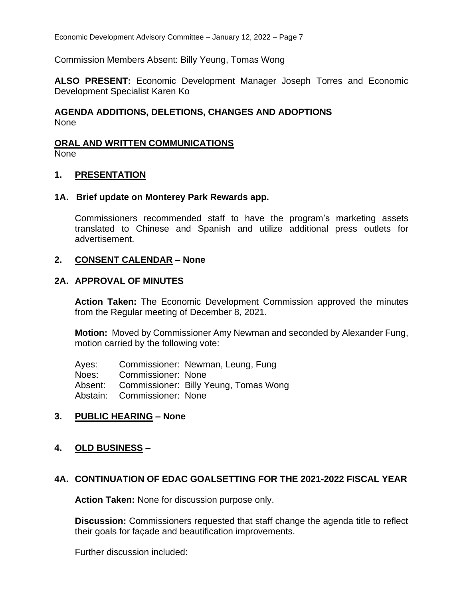Commission Members Absent: Billy Yeung, Tomas Wong

**ALSO PRESENT:** Economic Development Manager Joseph Torres and Economic Development Specialist Karen Ko

## **AGENDA ADDITIONS, DELETIONS, CHANGES AND ADOPTIONS** None

# **ORAL AND WRITTEN COMMUNICATIONS**

None

### **1. PRESENTATION**

### **1A. Brief update on Monterey Park Rewards app.**

Commissioners recommended staff to have the program's marketing assets translated to Chinese and Spanish and utilize additional press outlets for advertisement.

### **2. CONSENT CALENDAR – None**

### **2A. APPROVAL OF MINUTES**

**Action Taken:** The Economic Development Commission approved the minutes from the Regular meeting of December 8, 2021.

**Motion:** Moved by Commissioner Amy Newman and seconded by Alexander Fung, motion carried by the following vote:

Ayes: Commissioner: Newman, Leung, Fung Noes: Commissioner: None Absent: Commissioner: Billy Yeung, Tomas Wong Abstain: Commissioner: None

### **3. PUBLIC HEARING – None**

### **4. OLD BUSINESS –**

### **4A. CONTINUATION OF EDAC GOALSETTING FOR THE 2021-2022 FISCAL YEAR**

**Action Taken:** None for discussion purpose only.

**Discussion:** Commissioners requested that staff change the agenda title to reflect their goals for façade and beautification improvements.

Further discussion included: